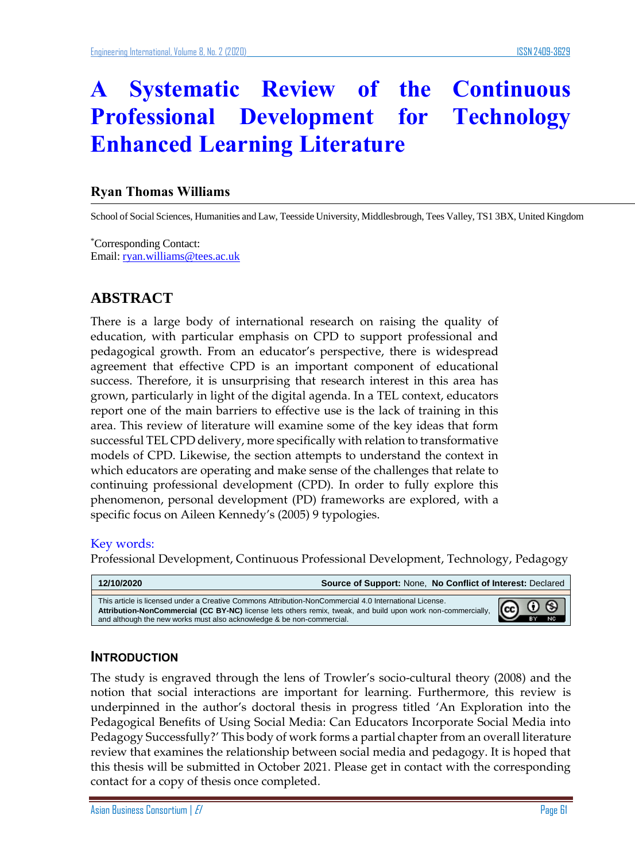# **A Systematic Review of the Continuous Professional Development for Technology Enhanced Learning Literature**

#### **Ryan Thomas Williams**

School of Social Sciences, Humanities and Law, Teesside University, Middlesbrough, Tees Valley, TS1 3BX, United Kingdom

\*Corresponding Contact: Email: ryan.williams@tees.ac.uk

# **ABSTRACT**

There is a large body of international research on raising the quality of education, with particular emphasis on CPD to support professional and pedagogical growth. From an educator's perspective, there is widespread agreement that effective CPD is an important component of educational success. Therefore, it is unsurprising that research interest in this area has grown, particularly in light of the digital agenda. In a TEL context, educators report one of the main barriers to effective use is the lack of training in this area. This review of literature will examine some of the key ideas that form successful TEL CPD delivery, more specifically with relation to transformative models of CPD. Likewise, the section attempts to understand the context in which educators are operating and make sense of the challenges that relate to continuing professional development (CPD). In order to fully explore this phenomenon, personal development (PD) frameworks are explored, with a specific focus on Aileen Kennedy's (2005) 9 typologies.

#### Key words:

Professional Development, Continuous Professional Development, Technology, Pedagogy

| 12/10/2020                                                                                                                                                                                                                                                                                      | Source of Support: None, No Conflict of Interest: Declared |            |
|-------------------------------------------------------------------------------------------------------------------------------------------------------------------------------------------------------------------------------------------------------------------------------------------------|------------------------------------------------------------|------------|
| This article is licensed under a Creative Commons Attribution-NonCommercial 4.0 International License.<br>Attribution-NonCommercial (CC BY-NC) license lets others remix, tweak, and build upon work non-commercially,<br>and although the new works must also acknowledge & be non-commercial. |                                                            | രൂ $\circ$ |

#### **INTRODUCTION**

The study is engraved through the lens of Trowler's socio-cultural theory (2008) and the notion that social interactions are important for learning. Furthermore, this review is underpinned in the author's doctoral thesis in progress titled 'An Exploration into the Pedagogical Benefits of Using Social Media: Can Educators Incorporate Social Media into Pedagogy Successfully?' This body of work forms a partial chapter from an overall literature review that examines the relationship between social media and pedagogy. It is hoped that this thesis will be submitted in October 2021. Please get in contact with the corresponding contact for a copy of thesis once completed.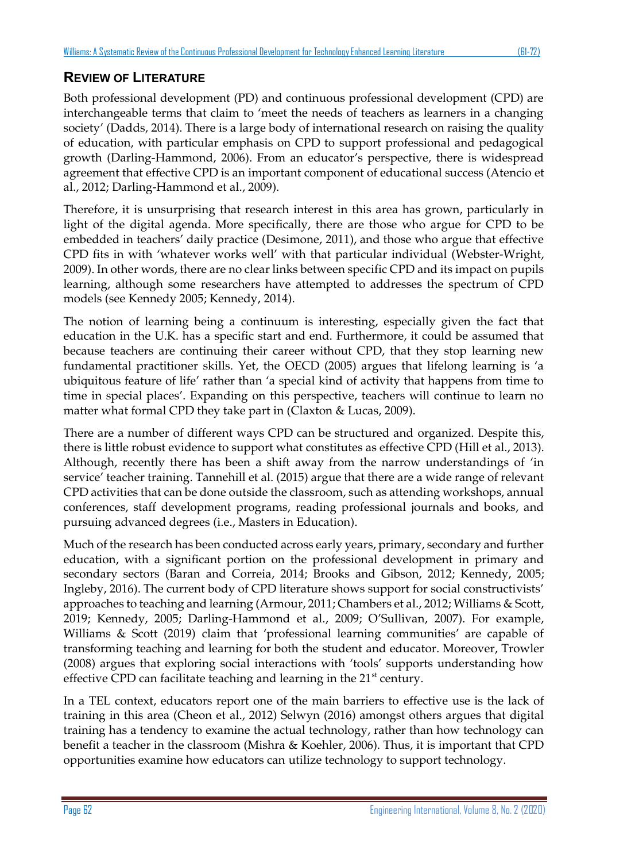# **REVIEW OF LITERATURE**

Both professional development (PD) and continuous professional development (CPD) are interchangeable terms that claim to 'meet the needs of teachers as learners in a changing society' (Dadds, 2014). There is a large body of international research on raising the quality of education, with particular emphasis on CPD to support professional and pedagogical growth (Darling-Hammond, 2006). From an educator's perspective, there is widespread agreement that effective CPD is an important component of educational success (Atencio et al., 2012; Darling-Hammond et al., 2009).

Therefore, it is unsurprising that research interest in this area has grown, particularly in light of the digital agenda. More specifically, there are those who argue for CPD to be embedded in teachers' daily practice (Desimone, 2011), and those who argue that effective CPD fits in with 'whatever works well' with that particular individual (Webster-Wright, 2009). In other words, there are no clear links between specific CPD and its impact on pupils learning, although some researchers have attempted to addresses the spectrum of CPD models (see Kennedy 2005; Kennedy, 2014).

The notion of learning being a continuum is interesting, especially given the fact that education in the U.K. has a specific start and end. Furthermore, it could be assumed that because teachers are continuing their career without CPD, that they stop learning new fundamental practitioner skills. Yet, the OECD (2005) argues that lifelong learning is 'a ubiquitous feature of life' rather than 'a special kind of activity that happens from time to time in special places'. Expanding on this perspective, teachers will continue to learn no matter what formal CPD they take part in (Claxton & Lucas, 2009).

There are a number of different ways CPD can be structured and organized. Despite this, there is little robust evidence to support what constitutes as effective CPD (Hill et al., 2013). Although, recently there has been a shift away from the narrow understandings of 'in service' teacher training. Tannehill et al. (2015) argue that there are a wide range of relevant CPD activities that can be done outside the classroom, such as attending workshops, annual conferences, staff development programs, reading professional journals and books, and pursuing advanced degrees (i.e., Masters in Education).

Much of the research has been conducted across early years, primary, secondary and further education, with a significant portion on the professional development in primary and secondary sectors (Baran and Correia, 2014; Brooks and Gibson, 2012; Kennedy, 2005; Ingleby, 2016). The current body of CPD literature shows support for social constructivists' approaches to teaching and learning (Armour, 2011; Chambers et al., 2012; Williams & Scott, 2019; Kennedy, 2005; Darling-Hammond et al., 2009; O'Sullivan, 2007). For example, Williams & Scott (2019) claim that 'professional learning communities' are capable of transforming teaching and learning for both the student and educator. Moreover, Trowler (2008) argues that exploring social interactions with 'tools' supports understanding how effective CPD can facilitate teaching and learning in the  $21<sup>st</sup>$  century.

In a TEL context, educators report one of the main barriers to effective use is the lack of training in this area (Cheon et al., 2012) Selwyn (2016) amongst others argues that digital training has a tendency to examine the actual technology, rather than how technology can benefit a teacher in the classroom (Mishra & Koehler, 2006). Thus, it is important that CPD opportunities examine how educators can utilize technology to support technology.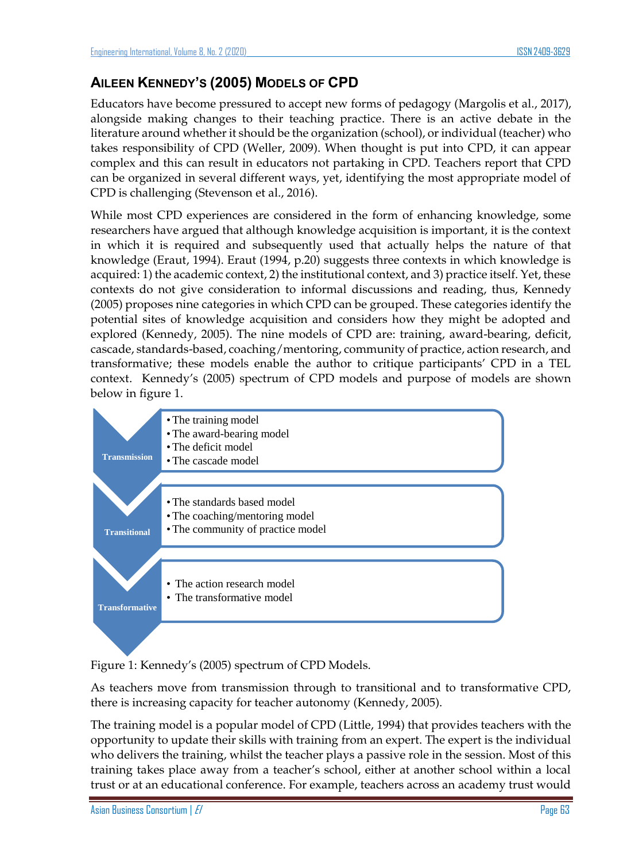### **AILEEN KENNEDY'S (2005) MODELS OF CPD**

Educators have become pressured to accept new forms of pedagogy (Margolis et al., 2017), alongside making changes to their teaching practice. There is an active debate in the literature around whether it should be the organization (school), or individual (teacher) who takes responsibility of CPD (Weller, 2009). When thought is put into CPD, it can appear complex and this can result in educators not partaking in CPD. Teachers report that CPD can be organized in several different ways, yet, identifying the most appropriate model of CPD is challenging (Stevenson et al., 2016).

While most CPD experiences are considered in the form of enhancing knowledge, some researchers have argued that although knowledge acquisition is important, it is the context in which it is required and subsequently used that actually helps the nature of that knowledge (Eraut, 1994). Eraut (1994, p.20) suggests three contexts in which knowledge is acquired: 1) the academic context, 2) the institutional context, and 3) practice itself. Yet, these contexts do not give consideration to informal discussions and reading, thus, Kennedy (2005) proposes nine categories in which CPD can be grouped. These categories identify the potential sites of knowledge acquisition and considers how they might be adopted and explored (Kennedy, 2005). The nine models of CPD are: training, award-bearing, deficit, cascade, standards-based, coaching/mentoring, community of practice, action research, and transformative; these models enable the author to critique participants' CPD in a TEL context. Kennedy's (2005) spectrum of CPD models and purpose of models are shown below in figure 1.



Figure 1: Kennedy's (2005) spectrum of CPD Models.

As teachers move from transmission through to transitional and to transformative CPD, there is increasing capacity for teacher autonomy (Kennedy, 2005).

The training model is a popular model of CPD (Little, 1994) that provides teachers with the opportunity to update their skills with training from an expert. The expert is the individual who delivers the training, whilst the teacher plays a passive role in the session. Most of this training takes place away from a teacher's school, either at another school within a local trust or at an educational conference. For example, teachers across an academy trust would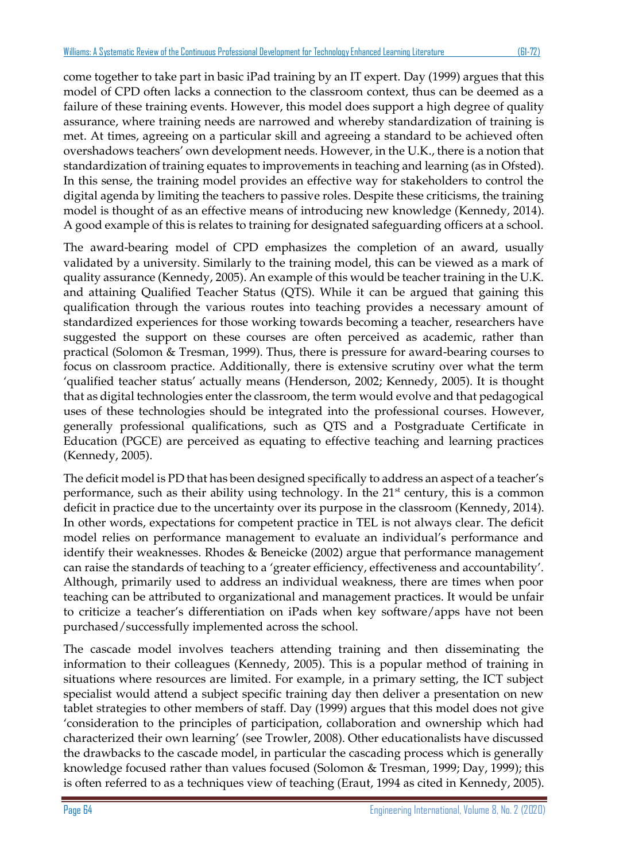come together to take part in basic iPad training by an IT expert. Day (1999) argues that this model of CPD often lacks a connection to the classroom context, thus can be deemed as a failure of these training events. However, this model does support a high degree of quality assurance, where training needs are narrowed and whereby standardization of training is met. At times, agreeing on a particular skill and agreeing a standard to be achieved often overshadows teachers' own development needs. However, in the U.K., there is a notion that standardization of training equates to improvements in teaching and learning (as in Ofsted). In this sense, the training model provides an effective way for stakeholders to control the digital agenda by limiting the teachers to passive roles. Despite these criticisms, the training model is thought of as an effective means of introducing new knowledge (Kennedy, 2014). A good example of this is relates to training for designated safeguarding officers at a school.

The award-bearing model of CPD emphasizes the completion of an award, usually validated by a university. Similarly to the training model, this can be viewed as a mark of quality assurance (Kennedy, 2005). An example of this would be teacher training in the U.K. and attaining Qualified Teacher Status (QTS). While it can be argued that gaining this qualification through the various routes into teaching provides a necessary amount of standardized experiences for those working towards becoming a teacher, researchers have suggested the support on these courses are often perceived as academic, rather than practical (Solomon & Tresman, 1999). Thus, there is pressure for award-bearing courses to focus on classroom practice. Additionally, there is extensive scrutiny over what the term 'qualified teacher status' actually means (Henderson, 2002; Kennedy, 2005). It is thought that as digital technologies enter the classroom, the term would evolve and that pedagogical uses of these technologies should be integrated into the professional courses. However, generally professional qualifications, such as QTS and a Postgraduate Certificate in Education (PGCE) are perceived as equating to effective teaching and learning practices (Kennedy, 2005).

The deficit model is PD that has been designed specifically to address an aspect of a teacher's performance, such as their ability using technology. In the  $21<sup>st</sup>$  century, this is a common deficit in practice due to the uncertainty over its purpose in the classroom (Kennedy, 2014). In other words, expectations for competent practice in TEL is not always clear. The deficit model relies on performance management to evaluate an individual's performance and identify their weaknesses. Rhodes & Beneicke (2002) argue that performance management can raise the standards of teaching to a 'greater efficiency, effectiveness and accountability'. Although, primarily used to address an individual weakness, there are times when poor teaching can be attributed to organizational and management practices. It would be unfair to criticize a teacher's differentiation on iPads when key software/apps have not been purchased/successfully implemented across the school.

The cascade model involves teachers attending training and then disseminating the information to their colleagues (Kennedy, 2005). This is a popular method of training in situations where resources are limited. For example, in a primary setting, the ICT subject specialist would attend a subject specific training day then deliver a presentation on new tablet strategies to other members of staff. Day (1999) argues that this model does not give 'consideration to the principles of participation, collaboration and ownership which had characterized their own learning' (see Trowler, 2008). Other educationalists have discussed the drawbacks to the cascade model, in particular the cascading process which is generally knowledge focused rather than values focused (Solomon & Tresman, 1999; Day, 1999); this is often referred to as a techniques view of teaching (Eraut, 1994 as cited in Kennedy, 2005).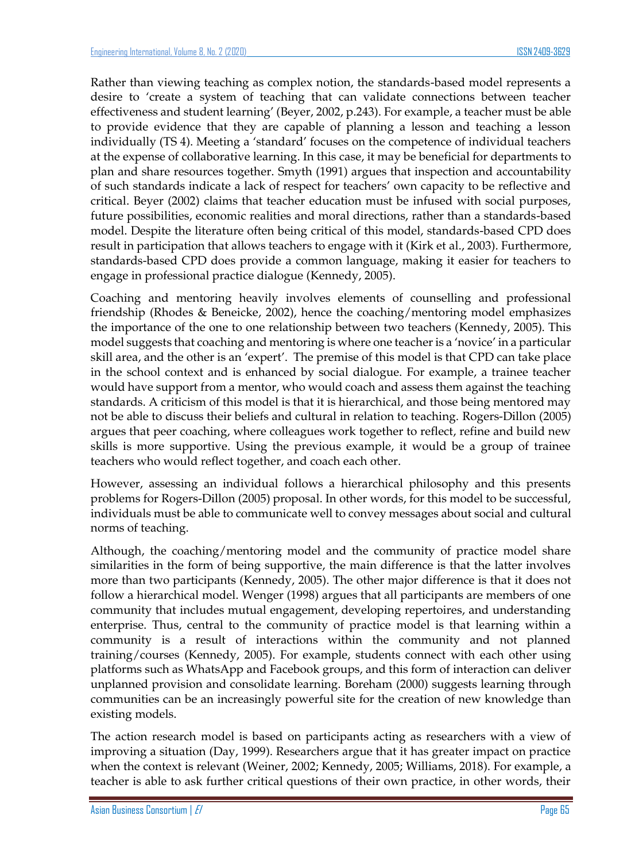Rather than viewing teaching as complex notion, the standards-based model represents a desire to 'create a system of teaching that can validate connections between teacher effectiveness and student learning' (Beyer, 2002, p.243). For example, a teacher must be able to provide evidence that they are capable of planning a lesson and teaching a lesson individually (TS 4). Meeting a 'standard' focuses on the competence of individual teachers at the expense of collaborative learning. In this case, it may be beneficial for departments to plan and share resources together. Smyth (1991) argues that inspection and accountability of such standards indicate a lack of respect for teachers' own capacity to be reflective and critical. Beyer (2002) claims that teacher education must be infused with social purposes, future possibilities, economic realities and moral directions, rather than a standards-based model. Despite the literature often being critical of this model, standards-based CPD does result in participation that allows teachers to engage with it (Kirk et al., 2003). Furthermore, standards-based CPD does provide a common language, making it easier for teachers to engage in professional practice dialogue (Kennedy, 2005).

Coaching and mentoring heavily involves elements of counselling and professional friendship (Rhodes & Beneicke, 2002), hence the coaching/mentoring model emphasizes the importance of the one to one relationship between two teachers (Kennedy, 2005). This model suggests that coaching and mentoring is where one teacher is a 'novice' in a particular skill area, and the other is an 'expert'. The premise of this model is that CPD can take place in the school context and is enhanced by social dialogue. For example, a trainee teacher would have support from a mentor, who would coach and assess them against the teaching standards. A criticism of this model is that it is hierarchical, and those being mentored may not be able to discuss their beliefs and cultural in relation to teaching. Rogers-Dillon (2005) argues that peer coaching, where colleagues work together to reflect, refine and build new skills is more supportive. Using the previous example, it would be a group of trainee teachers who would reflect together, and coach each other.

However, assessing an individual follows a hierarchical philosophy and this presents problems for Rogers-Dillon (2005) proposal. In other words, for this model to be successful, individuals must be able to communicate well to convey messages about social and cultural norms of teaching.

Although, the coaching/mentoring model and the community of practice model share similarities in the form of being supportive, the main difference is that the latter involves more than two participants (Kennedy, 2005). The other major difference is that it does not follow a hierarchical model. Wenger (1998) argues that all participants are members of one community that includes mutual engagement, developing repertoires, and understanding enterprise. Thus, central to the community of practice model is that learning within a community is a result of interactions within the community and not planned training/courses (Kennedy, 2005). For example, students connect with each other using platforms such as WhatsApp and Facebook groups, and this form of interaction can deliver unplanned provision and consolidate learning. Boreham (2000) suggests learning through communities can be an increasingly powerful site for the creation of new knowledge than existing models.

The action research model is based on participants acting as researchers with a view of improving a situation (Day, 1999). Researchers argue that it has greater impact on practice when the context is relevant (Weiner, 2002; Kennedy, 2005; Williams, 2018). For example, a teacher is able to ask further critical questions of their own practice, in other words, their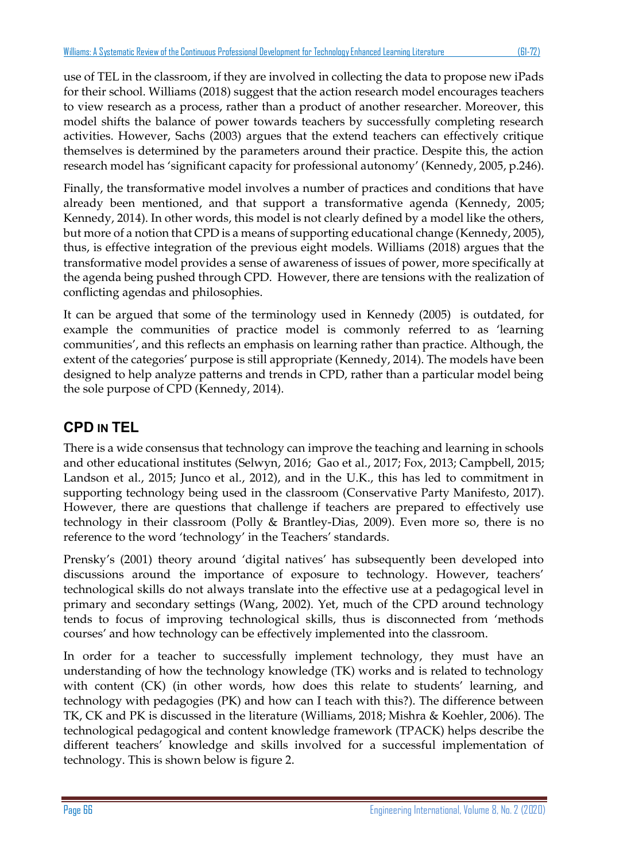use of TEL in the classroom, if they are involved in collecting the data to propose new iPads for their school. Williams (2018) suggest that the action research model encourages teachers to view research as a process, rather than a product of another researcher. Moreover, this model shifts the balance of power towards teachers by successfully completing research activities. However, Sachs (2003) argues that the extend teachers can effectively critique themselves is determined by the parameters around their practice. Despite this, the action research model has 'significant capacity for professional autonomy' (Kennedy, 2005, p.246).

Finally, the transformative model involves a number of practices and conditions that have already been mentioned, and that support a transformative agenda (Kennedy, 2005; Kennedy, 2014). In other words, this model is not clearly defined by a model like the others, but more of a notion that CPD is a means of supporting educational change (Kennedy, 2005), thus, is effective integration of the previous eight models. Williams (2018) argues that the transformative model provides a sense of awareness of issues of power, more specifically at the agenda being pushed through CPD. However, there are tensions with the realization of conflicting agendas and philosophies.

It can be argued that some of the terminology used in Kennedy (2005) is outdated, for example the communities of practice model is commonly referred to as 'learning communities', and this reflects an emphasis on learning rather than practice. Although, the extent of the categories' purpose is still appropriate (Kennedy, 2014). The models have been designed to help analyze patterns and trends in CPD, rather than a particular model being the sole purpose of CPD (Kennedy, 2014).

# **CPD IN TEL**

There is a wide consensus that technology can improve the teaching and learning in schools and other educational institutes (Selwyn, 2016; Gao et al., 2017; Fox, 2013; Campbell, 2015; Landson et al., 2015; Junco et al., 2012), and in the U.K., this has led to commitment in supporting technology being used in the classroom (Conservative Party Manifesto, 2017). However, there are questions that challenge if teachers are prepared to effectively use technology in their classroom (Polly & Brantley-Dias, 2009). Even more so, there is no reference to the word 'technology' in the Teachers' standards.

Prensky's (2001) theory around 'digital natives' has subsequently been developed into discussions around the importance of exposure to technology. However, teachers' technological skills do not always translate into the effective use at a pedagogical level in primary and secondary settings (Wang, 2002). Yet, much of the CPD around technology tends to focus of improving technological skills, thus is disconnected from 'methods courses' and how technology can be effectively implemented into the classroom.

In order for a teacher to successfully implement technology, they must have an understanding of how the technology knowledge (TK) works and is related to technology with content (CK) (in other words, how does this relate to students' learning, and technology with pedagogies (PK) and how can I teach with this?). The difference between TK, CK and PK is discussed in the literature (Williams, 2018; Mishra & Koehler, 2006). The technological pedagogical and content knowledge framework (TPACK) helps describe the different teachers' knowledge and skills involved for a successful implementation of technology. This is shown below is figure 2.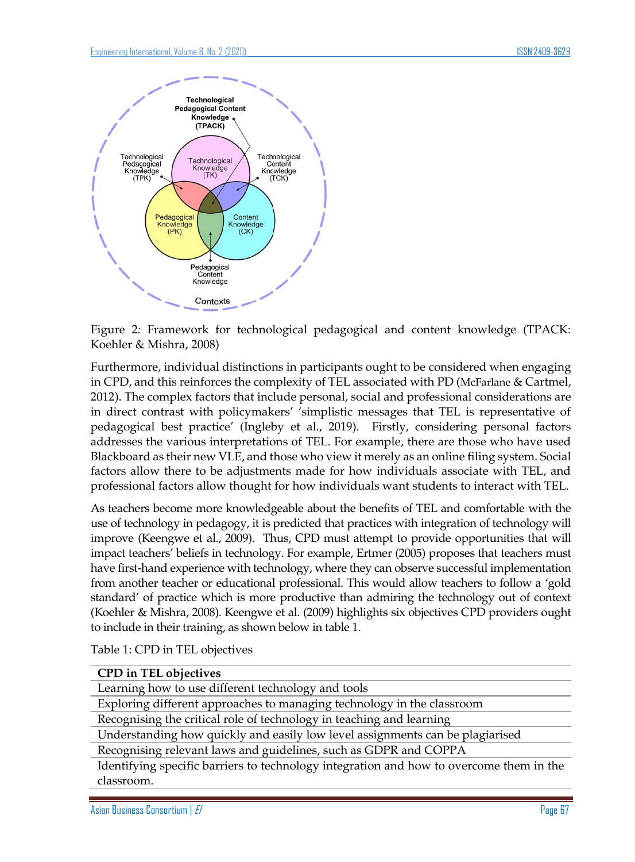

Figure 2*:* Framework for technological pedagogical and content knowledge (TPACK: Koehler & Mishra, 2008)

Furthermore, individual distinctions in participants ought to be considered when engaging in CPD, and this reinforces the complexity of TEL associated with PD (McFarlane & Cartmel, 2012). The complex factors that include personal, social and professional considerations are in direct contrast with policymakers' 'simplistic messages that TEL is representative of pedagogical best practice' (Ingleby et al., 2019). Firstly, considering personal factors addresses the various interpretations of TEL. For example, there are those who have used Blackboard as their new VLE, and those who view it merely as an online filing system. Social factors allow there to be adjustments made for how individuals associate with TEL, and professional factors allow thought for how individuals want students to interact with TEL.

As teachers become more knowledgeable about the benefits of TEL and comfortable with the use of technology in pedagogy, it is predicted that practices with integration of technology will improve (Keengwe et al., 2009). Thus, CPD must attempt to provide opportunities that will impact teachers' beliefs in technology. For example, Ertmer (2005) proposes that teachers must have first-hand experience with technology, where they can observe successful implementation from another teacher or educational professional. This would allow teachers to follow a 'gold standard' of practice which is more productive than admiring the technology out of context (Koehler & Mishra, 2008). Keengwe et al. (2009) highlights six objectives CPD providers ought to include in their training, as shown below in table 1.

Table 1: CPD in TEL objectives

#### **CPD in TEL objectives**

Learning how to use different technology and tools

Exploring different approaches to managing technology in the classroom

Recognising the critical role of technology in teaching and learning

Understanding how quickly and easily low level assignments can be plagiarised

Recognising relevant laws and guidelines, such as GDPR and COPPA

Identifying specific barriers to technology integration and how to overcome them in the classroom.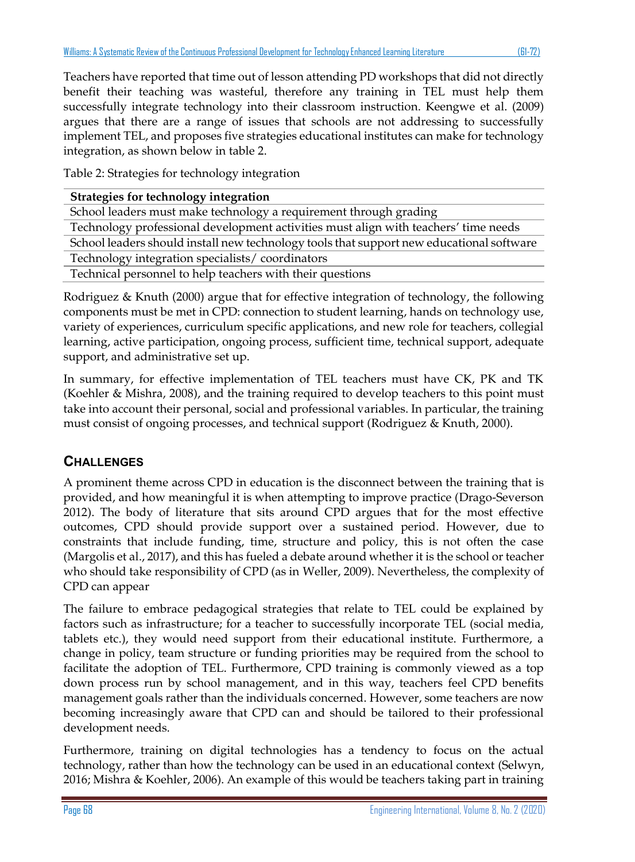Teachers have reported that time out of lesson attending PD workshops that did not directly benefit their teaching was wasteful, therefore any training in TEL must help them successfully integrate technology into their classroom instruction. Keengwe et al. (2009) argues that there are a range of issues that schools are not addressing to successfully implement TEL, and proposes five strategies educational institutes can make for technology integration, as shown below in table 2.

Table 2: Strategies for technology integration

| Strategies for technology integration                                                    |  |
|------------------------------------------------------------------------------------------|--|
| School leaders must make technology a requirement through grading                        |  |
| Technology professional development activities must align with teachers' time needs      |  |
| School leaders should install new technology tools that support new educational software |  |
| Technology integration specialists/coordinators                                          |  |
| Technical personnel to help teachers with their questions                                |  |
|                                                                                          |  |

Rodriguez & Knuth (2000) argue that for effective integration of technology, the following components must be met in CPD: connection to student learning, hands on technology use, variety of experiences, curriculum specific applications, and new role for teachers, collegial learning, active participation, ongoing process, sufficient time, technical support, adequate support, and administrative set up.

In summary, for effective implementation of TEL teachers must have CK, PK and TK (Koehler & Mishra, 2008), and the training required to develop teachers to this point must take into account their personal, social and professional variables. In particular, the training must consist of ongoing processes, and technical support (Rodriguez & Knuth, 2000).

# **CHALLENGES**

A prominent theme across CPD in education is the disconnect between the training that is provided, and how meaningful it is when attempting to improve practice (Drago-Severson 2012). The body of literature that sits around CPD argues that for the most effective outcomes, CPD should provide support over a sustained period. However, due to constraints that include funding, time, structure and policy, this is not often the case (Margolis et al., 2017), and this has fueled a debate around whether it is the school or teacher who should take responsibility of CPD (as in Weller, 2009). Nevertheless, the complexity of CPD can appear

The failure to embrace pedagogical strategies that relate to TEL could be explained by factors such as infrastructure; for a teacher to successfully incorporate TEL (social media, tablets etc.), they would need support from their educational institute. Furthermore, a change in policy, team structure or funding priorities may be required from the school to facilitate the adoption of TEL. Furthermore, CPD training is commonly viewed as a top down process run by school management, and in this way, teachers feel CPD benefits management goals rather than the individuals concerned. However, some teachers are now becoming increasingly aware that CPD can and should be tailored to their professional development needs.

Furthermore, training on digital technologies has a tendency to focus on the actual technology, rather than how the technology can be used in an educational context (Selwyn, 2016; Mishra & Koehler, 2006). An example of this would be teachers taking part in training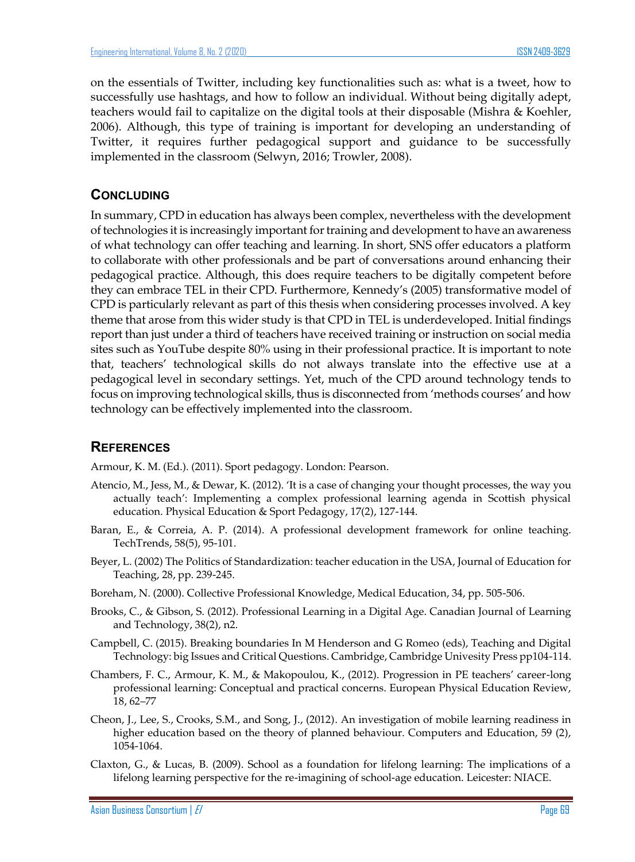on the essentials of Twitter, including key functionalities such as: what is a tweet, how to successfully use hashtags, and how to follow an individual. Without being digitally adept, teachers would fail to capitalize on the digital tools at their disposable (Mishra & Koehler, 2006). Although, this type of training is important for developing an understanding of Twitter, it requires further pedagogical support and guidance to be successfully implemented in the classroom (Selwyn, 2016; Trowler, 2008).

### **CONCLUDING**

In summary, CPD in education has always been complex, nevertheless with the development of technologies it is increasingly important for training and development to have an awareness of what technology can offer teaching and learning. In short, SNS offer educators a platform to collaborate with other professionals and be part of conversations around enhancing their pedagogical practice. Although, this does require teachers to be digitally competent before they can embrace TEL in their CPD. Furthermore, Kennedy's (2005) transformative model of CPD is particularly relevant as part of this thesis when considering processes involved. A key theme that arose from this wider study is that CPD in TEL is underdeveloped. Initial findings report than just under a third of teachers have received training or instruction on social media sites such as YouTube despite 80% using in their professional practice. It is important to note that, teachers' technological skills do not always translate into the effective use at a pedagogical level in secondary settings. Yet, much of the CPD around technology tends to focus on improving technological skills, thus is disconnected from 'methods courses' and how technology can be effectively implemented into the classroom.

### **REFERENCES**

Armour, K. M. (Ed.). (2011). Sport pedagogy. London: Pearson.

- Atencio, M., Jess, M., & Dewar, K. (2012). 'It is a case of changing your thought processes, the way you actually teach': Implementing a complex professional learning agenda in Scottish physical education. Physical Education & Sport Pedagogy, 17(2), 127-144.
- Baran, E., & Correia, A. P. (2014). A professional development framework for online teaching. TechTrends, 58(5), 95-101.
- Beyer, L. (2002) The Politics of Standardization: teacher education in the USA, Journal of Education for Teaching, 28, pp. 239-245.
- Boreham, N. (2000). Collective Professional Knowledge, Medical Education, 34, pp. 505-506.
- Brooks, C., & Gibson, S. (2012). Professional Learning in a Digital Age. Canadian Journal of Learning and Technology, 38(2), n2.
- Campbell, C. (2015). Breaking boundaries In M Henderson and G Romeo (eds), Teaching and Digital Technology: big Issues and Critical Questions. Cambridge, Cambridge Univesity Press pp104-114.
- Chambers, F. C., Armour, K. M., & Makopoulou, K., (2012). Progression in PE teachers' career-long professional learning: Conceptual and practical concerns. European Physical Education Review, 18, 62–77
- Cheon, J., Lee, S., Crooks, S.M., and Song, J., (2012). An investigation of mobile learning readiness in higher education based on the theory of planned behaviour. Computers and Education, 59 (2), 1054-1064.
- Claxton, G., & Lucas, B. (2009). School as a foundation for lifelong learning: The implications of a lifelong learning perspective for the re-imagining of school-age education. Leicester: NIACE.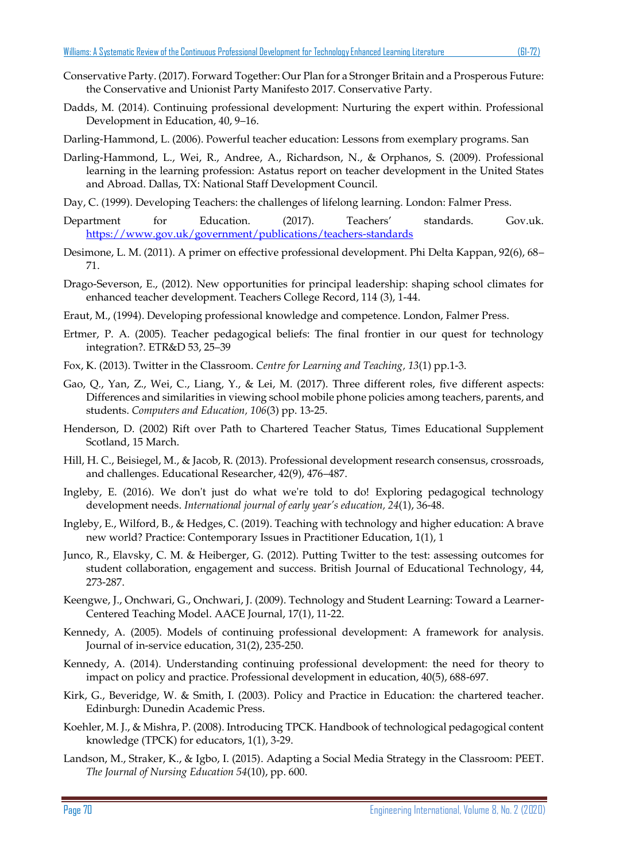- Conservative Party. (2017). Forward Together: Our Plan for a Stronger Britain and a Prosperous Future: the Conservative and Unionist Party Manifesto 2017. Conservative Party.
- Dadds, M. (2014). Continuing professional development: Nurturing the expert within. Professional Development in Education, 40, 9–16.
- Darling-Hammond, L. (2006). Powerful teacher education: Lessons from exemplary programs. San
- Darling-Hammond, L., Wei, R., Andree, A., Richardson, N., & Orphanos, S. (2009). Professional learning in the learning profession: Astatus report on teacher development in the United States and Abroad. Dallas, TX: National Staff Development Council.
- Day, C. (1999). Developing Teachers: the challenges of lifelong learning. London: Falmer Press.
- Department for Education. (2017). Teachers' standards. Gov.uk. <https://www.gov.uk/government/publications/teachers-standards>
- Desimone, L. M. (2011). A primer on effective professional development. Phi Delta Kappan, 92(6), 68– 71.
- Drago-Severson, E., (2012). New opportunities for principal leadership: shaping school climates for enhanced teacher development. Teachers College Record, 114 (3), 1-44.
- Eraut, M., (1994). Developing professional knowledge and competence. London, Falmer Press.
- Ertmer, P. A. (2005). Teacher pedagogical beliefs: The final frontier in our quest for technology integration?. ETR&D 53, 25–39
- Fox, K. (2013). Twitter in the Classroom. *Centre for Learning and Teaching, 13*(1) pp.1-3.
- Gao, Q., Yan, Z., Wei, C., Liang, Y., & Lei, M. (2017). Three different roles, five different aspects: Differences and similarities in viewing school mobile phone policies among teachers, parents, and students. *Computers and Education, 106*(3) pp. 13-25.
- Henderson, D. (2002) Rift over Path to Chartered Teacher Status, Times Educational Supplement Scotland, 15 March.
- Hill, H. C., Beisiegel, M., & Jacob, R. (2013). Professional development research consensus, crossroads, and challenges. Educational Researcher, 42(9), 476–487.
- Ingleby, E. (2016). We don't just do what we're told to do! Exploring pedagogical technology development needs. *International journal of early year's education, 24*(1), 36-48.
- Ingleby, E., Wilford, B., & Hedges, C. (2019). Teaching with technology and higher education: A brave new world? Practice: Contemporary Issues in Practitioner Education, 1(1), 1
- Junco, R., Elavsky, C. M. & Heiberger, G. (2012). Putting Twitter to the test: assessing outcomes for student collaboration, engagement and success. British Journal of Educational Technology, 44, 273-287.
- Keengwe, J., Onchwari, G., Onchwari, J. (2009). Technology and Student Learning: Toward a Learner-Centered Teaching Model. AACE Journal, 17(1), 11-22.
- Kennedy, A. (2005). Models of continuing professional development: A framework for analysis. Journal of in-service education, 31(2), 235-250.
- Kennedy, A. (2014). Understanding continuing professional development: the need for theory to impact on policy and practice. Professional development in education, 40(5), 688-697.
- Kirk, G., Beveridge, W. & Smith, I. (2003). Policy and Practice in Education: the chartered teacher. Edinburgh: Dunedin Academic Press.
- Koehler, M. J., & Mishra, P. (2008). Introducing TPCK. Handbook of technological pedagogical content knowledge (TPCK) for educators, 1(1), 3-29.
- Landson, M., Straker, K., & Igbo, I. (2015). Adapting a Social Media Strategy in the Classroom: PEET. *The Journal of Nursing Education 54*(10), pp. 600.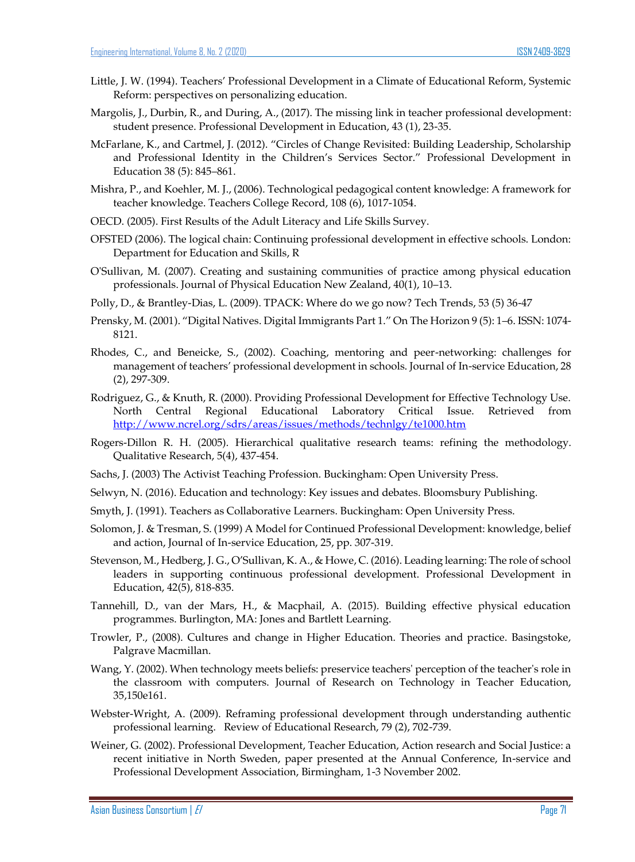- Little, J. W. (1994). Teachers' Professional Development in a Climate of Educational Reform, Systemic Reform: perspectives on personalizing education.
- Margolis, J., Durbin, R., and During, A., (2017). The missing link in teacher professional development: student presence. Professional Development in Education, 43 (1), 23-35.
- McFarlane, K., and Cartmel, J. (2012). "Circles of Change Revisited: Building Leadership, Scholarship and Professional Identity in the Children's Services Sector." Professional Development in Education 38 (5): 845–861.
- Mishra, P., and Koehler, M. J., (2006). Technological pedagogical content knowledge: A framework for teacher knowledge. Teachers College Record, 108 (6), 1017-1054.
- OECD. (2005). First Results of the Adult Literacy and Life Skills Survey.
- OFSTED (2006). The logical chain: Continuing professional development in effective schools. London: Department for Education and Skills, R
- O'Sullivan, M. (2007). Creating and sustaining communities of practice among physical education professionals. Journal of Physical Education New Zealand, 40(1), 10–13.
- Polly, D., & Brantley-Dias, L. (2009). TPACK: Where do we go now? Tech Trends, 53 (5) 36-47
- Prensky, M. (2001). "Digital Natives. Digital Immigrants Part 1." On The Horizon 9 (5): 1–6. ISSN: 1074- 8121.
- Rhodes, C., and Beneicke, S., (2002). Coaching, mentoring and peer-networking: challenges for management of teachers' professional development in schools. Journal of In-service Education, 28 (2), 297-309.
- Rodriguez, G., & Knuth, R. (2000). Providing Professional Development for Effective Technology Use. North Central Regional Educational Laboratory Critical Issue. Retrieved from <http://www.ncrel.org/sdrs/areas/issues/methods/technlgy/te1000.htm>
- Rogers-Dillon R. H. (2005). Hierarchical qualitative research teams: refining the methodology. Qualitative Research, 5(4), 437-454.
- Sachs, J. (2003) The Activist Teaching Profession. Buckingham: Open University Press.
- Selwyn, N. (2016). Education and technology: Key issues and debates. Bloomsbury Publishing.
- Smyth, J. (1991). Teachers as Collaborative Learners. Buckingham: Open University Press.
- Solomon, J. & Tresman, S. (1999) A Model for Continued Professional Development: knowledge, belief and action, Journal of In-service Education, 25, pp. 307-319.
- Stevenson, M., Hedberg, J. G., O'Sullivan, K. A., & Howe, C. (2016). Leading learning: The role of school leaders in supporting continuous professional development. Professional Development in Education, 42(5), 818-835.
- Tannehill, D., van der Mars, H., & Macphail, A. (2015). Building effective physical education programmes. Burlington, MA: Jones and Bartlett Learning.
- Trowler, P., (2008). Cultures and change in Higher Education. Theories and practice. Basingstoke, Palgrave Macmillan.
- Wang, Y. (2002). When technology meets beliefs: preservice teachers' perception of the teacher's role in the classroom with computers. Journal of Research on Technology in Teacher Education, 35,150e161.
- Webster-Wright, A. (2009). Reframing professional development through understanding authentic professional learning. Review of Educational Research, 79 (2), 702-739.
- Weiner, G. (2002). Professional Development, Teacher Education, Action research and Social Justice: a recent initiative in North Sweden, paper presented at the Annual Conference, In-service and Professional Development Association, Birmingham, 1-3 November 2002.